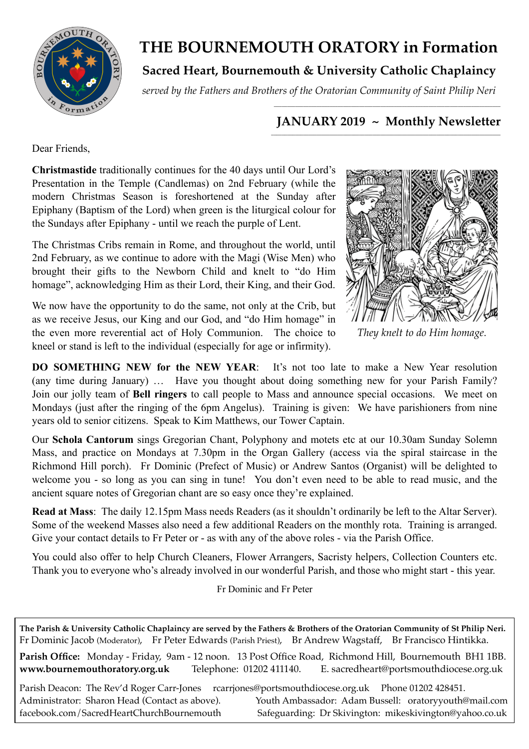

## **THE BOURNEMOUTH ORATORY in Formation**

## **Sacred Heart, Bournemouth & University Catholic Chaplaincy**

*served by the Fathers and Brothers of the Oratorian Community of Saint Philip Neri*

#### *\_\_\_\_\_\_\_\_\_\_\_\_\_\_\_\_\_\_\_\_\_\_\_\_\_\_\_\_\_\_\_\_\_\_\_\_\_\_\_\_\_\_\_\_\_\_\_\_\_\_\_\_\_\_\_\_\_\_\_\_\_\_\_\_\_\_\_\_\_\_\_\_\_\_\_\_\_\_\_\_\_\_\_\_\_* **JANUARY 2019 ~ Monthly Newsletter**

Dear Friends,

**Christmastide** traditionally continues for the 40 days until Our Lord's Presentation in the Temple (Candlemas) on 2nd February (while the modern Christmas Season is foreshortened at the Sunday after Epiphany (Baptism of the Lord) when green is the liturgical colour for the Sundays after Epiphany - until we reach the purple of Lent.

The Christmas Cribs remain in Rome, and throughout the world, until 2nd February, as we continue to adore with the Magi (Wise Men) who brought their gifts to the Newborn Child and knelt to "do Him homage", acknowledging Him as their Lord, their King, and their God.

We now have the opportunity to do the same, not only at the Crib, but as we receive Jesus, our King and our God, and "do Him homage" in the even more reverential act of Holy Communion. The choice to kneel or stand is left to the individual (especially for age or infirmity).



*They knelt to do Him homage*.

**DO SOMETHING NEW for the NEW YEAR**: It's not too late to make a New Year resolution (any time during January) … Have you thought about doing something new for your Parish Family? Join our jolly team of **Bell ringers** to call people to Mass and announce special occasions. We meet on Mondays (just after the ringing of the 6pm Angelus). Training is given: We have parishioners from nine years old to senior citizens. Speak to Kim Matthews, our Tower Captain.

Our **Schola Cantorum** sings Gregorian Chant, Polyphony and motets etc at our 10.30am Sunday Solemn Mass, and practice on Mondays at 7.30pm in the Organ Gallery (access via the spiral staircase in the Richmond Hill porch). Fr Dominic (Prefect of Music) or Andrew Santos (Organist) will be delighted to welcome you - so long as you can sing in tune! You don't even need to be able to read music, and the ancient square notes of Gregorian chant are so easy once they're explained.

**Read at Mass**: The daily 12.15pm Mass needs Readers (as it shouldn't ordinarily be left to the Altar Server). Some of the weekend Masses also need a few additional Readers on the monthly rota. Training is arranged. Give your contact details to Fr Peter or - as with any of the above roles - via the Parish Office.

You could also offer to help Church Cleaners, Flower Arrangers, Sacristy helpers, Collection Counters etc. Thank you to everyone who's already involved in our wonderful Parish, and those who might start - this year.

Fr Dominic and Fr Peter

**The Parish & University Catholic Chaplaincy are served by the Fathers & Brothers of the Oratorian Community of St Philip Neri.** Fr Dominic Jacob (Moderator), Fr Peter Edwards (Parish Priest), Br Andrew Wagstaff, Br Francisco Hintikka.

**Parish Office:** Monday - Friday, 9am - 12 noon. 13 Post Office Road, Richmond Hill, Bournemouth BH1 1BB. **[www.bournemouthoratory.org.uk](http://www.bournemoithoratory.org.uk)** Telephone: 01202 411140. E. [sacredheart@portsmouthdiocese.org.uk](mailto:sacredheart@portsmouthdiocese.org.uk)

Parish Deacon: The Rev'd Roger Carr-Jones rcarriones@portsmouthdiocese.org.uk Phone 01202 428451. Administrator: Sharon Head (Contact as above). Youth Ambassador: Adam Bussell: [oratoryyouth@mail.com](http://oratoryyouth.mail.com) [facebook.com/SacredHeartChurchBournemouth](http://facebook.com/SaccredHeartChurchBournemouth) Safeguarding: Dr Skivington: mikeskivington@yahoo.co.uk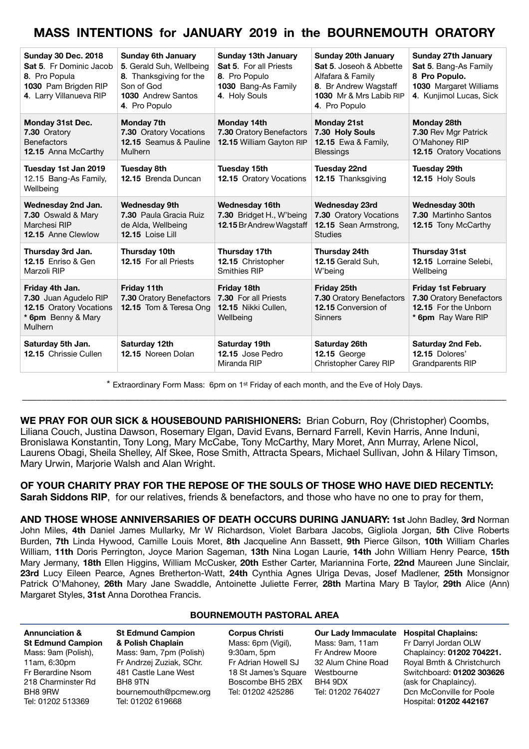## **MASS INTENTIONS for JANUARY 2019 in the BOURNEMOUTH ORATORY**

| <b>Sunday 30 Dec. 2018</b><br><b>Sat 5.</b> Fr Dominic Jacob<br>8. Pro Popula<br>1030 Pam Brigden RIP<br>4. Larry Villanueva RIP | <b>Sunday 6th January</b><br>5. Gerald Suh, Wellbeing<br>8. Thanksgiving for the<br>Son of God<br><b>1030</b> Andrew Santos<br>4. Pro Populo | <b>Sunday 13th January</b><br><b>Sat 5. For all Priests</b><br>8. Pro Populo<br>1030 Bang-As Family<br>4. Holy Souls | <b>Sunday 20th January</b><br>Sat 5. Joseoh & Abbette<br>Alfafara & Family<br>8. Br Andrew Wagstaff<br>1030 Mr & Mrs Labib RIP<br>4. Pro Populo | <b>Sunday 27th January</b><br>Sat 5. Bang-As Family<br>8 Pro Populo.<br>1030 Margaret Williams<br>4. Kunjimol Lucas, Sick |
|----------------------------------------------------------------------------------------------------------------------------------|----------------------------------------------------------------------------------------------------------------------------------------------|----------------------------------------------------------------------------------------------------------------------|-------------------------------------------------------------------------------------------------------------------------------------------------|---------------------------------------------------------------------------------------------------------------------------|
| Monday 31st Dec.<br>7.30 Oratory<br><b>Benefactors</b><br><b>12.15</b> Anna McCarthy                                             | Monday 7th<br>7.30 Oratory Vocations<br>12.15 Seamus & Pauline<br><b>Mulhern</b>                                                             | Monday 14th<br>7.30 Oratory Benefactors<br>12.15 William Gayton RIP                                                  | <b>Monday 21st</b><br>7.30 Holy Souls<br><b>12.15</b> Ewa & Family,<br><b>Blessings</b>                                                         | Monday 28th<br>7.30 Rev Mgr Patrick<br>O'Mahoney RIP<br>12.15 Oratory Vocations                                           |
| Tuesday 1st Jan 2019<br>12.15 Bang-As Family,<br>Wellbeing                                                                       | <b>Tuesday 8th</b><br>12.15 Brenda Duncan                                                                                                    | Tuesday 15th<br><b>12.15 Oratory Vocations</b>                                                                       | Tuesday 22nd<br>12.15 Thanksgiving                                                                                                              | Tuesday 29th<br>12.15 Holy Souls                                                                                          |
| Wednesday 2nd Jan.<br>7.30 Oswald & Mary<br>Marchesi RIP<br><b>12.15 Anne Clewlow</b>                                            | <b>Wednesday 9th</b><br>7.30 Paula Gracia Ruiz<br>de Alda, Wellbeing<br>12.15 Loise Lill                                                     | <b>Wednesday 16th</b><br>7.30 Bridget H., W'being<br>12.15 Br Andrew Wagstaff                                        | <b>Wednesday 23rd</b><br>7.30 Oratory Vocations<br>12.15 Sean Armstrong,<br><b>Studies</b>                                                      | <b>Wednesday 30th</b><br><b>7.30 Martinho Santos</b><br><b>12.15 Tony McCarthy</b>                                        |
| Thursday 3rd Jan.<br><b>12.15 Enriso &amp; Gen</b><br>Marzoli RIP                                                                | Thursday 10th<br><b>12.15 For all Priests</b>                                                                                                | Thursday 17th<br>12.15 Christopher<br>Smithies RIP                                                                   | Thursday 24th<br>12.15 Gerald Suh,<br>W'being                                                                                                   | <b>Thursday 31st</b><br>12.15 Lorraine Selebi,<br>Wellbeing                                                               |
| Friday 4th Jan.<br>7.30 Juan Agudelo RIP<br><b>12.15 Oratory Vocations</b><br>* 6pm Benny & Mary<br>Mulhern                      | Friday 11th<br>7.30 Oratory Benefactors<br>12.15 Tom & Teresa Ong                                                                            | Friday 18th<br>7.30 For all Priests<br>12.15 Nikki Cullen,<br>Wellbeing                                              | <b>Friday 25th</b><br>7.30 Oratory Benefactors<br>12.15 Conversion of<br><b>Sinners</b>                                                         | <b>Friday 1st February</b><br>7.30 Oratory Benefactors<br>12.15 For the Unborn<br>* 6pm Ray Ware RIP                      |
| Saturday 5th Jan.<br><b>12.15 Chrissie Cullen</b>                                                                                | Saturday 12th<br>12.15 Noreen Dolan                                                                                                          | Saturday 19th<br>12.15 Jose Pedro<br>Miranda RIP                                                                     | Saturday 26th<br>12.15 George<br>Christopher Carey RIP                                                                                          | Saturday 2nd Feb.<br>12.15 Dolores'<br><b>Grandparents RIP</b>                                                            |

\* Extraordinary Form Mass: 6pm on 1st Friday of each month, and the Eve of Holy Days. \_\_\_\_\_\_\_\_\_\_\_\_\_\_\_\_\_\_\_\_\_\_\_\_\_\_\_\_\_\_\_\_\_\_\_\_\_\_\_\_\_\_\_\_\_\_\_\_\_\_\_\_\_\_\_\_\_\_\_\_\_\_\_\_\_\_\_\_\_\_\_\_\_\_\_\_\_\_\_\_\_\_\_\_\_\_\_\_\_\_\_\_\_\_\_\_\_\_\_

**WE PRAY FOR OUR SICK & HOUSEBOUND PARISHIONERS:** Brian Coburn, Roy (Christopher) Coombs, Liliana Couch, Justina Dawson, Rosemary Elgan, David Evans, Bernard Farrell, Kevin Harris, Anne Induni, Bronislawa Konstantin, Tony Long, Mary McCabe, Tony McCarthy, Mary Moret, Ann Murray, Arlene Nicol, Laurens Obagi, Sheila Shelley, Alf Skee, Rose Smith, Attracta Spears, Michael Sullivan, John & Hilary Timson, Mary Urwin, Marjorie Walsh and Alan Wright.

**OF YOUR CHARITY PRAY FOR THE REPOSE OF THE SOULS OF THOSE WHO HAVE DIED RECENTLY: Sarah Siddons RIP**, for our relatives, friends & benefactors, and those who have no one to pray for them,

**AND THOSE WHOSE ANNIVERSARIES OF DEATH OCCURS DURING JANUARY: 1st** John Badley, **3rd** Norman John Miles, **4th** Daniel James Mullarky, Mr W Richardson, Violet Barbara Jacobs, Gigliola Jorgan, **5th** Clive Roberts Burden, **7th** Linda Hywood, Camille Louis Moret, **8th** Jacqueline Ann Bassett, **9th** Pierce Gilson, **10th** William Charles William, **11th** Doris Perrington, Joyce Marion Sageman, **13th** Nina Logan Laurie, **14th** John William Henry Pearce, **15th** Mary Jermany, **18th** Ellen Higgins, William McCusker, **20th** Esther Carter, Mariannina Forte, **22nd** Maureen June Sinclair, **23rd** Lucy Eileen Pearce, Agnes Bretherton-Watt, **24th** Cynthia Agnes Ulriga Devas, Josef Madlener, **25th** Monsignor Patrick O'Mahoney, **26th** Mary Jane Swaddle, Antoinette Juliette Ferrer, **28th** Martina Mary B Taylor, **29th** Alice (Ann) Margaret Styles, **31st** Anna Dorothea Francis.

#### **BOURNEMOUTH PASTORAL AREA St Edmund Campion St Edmund Campion & Polish Chaplain** Mass: 9am, 7pm (Polish) **Corpus Christi**  Mass: 6pm (Vigil), 9:30am, 5pm **Our Lady Immaculate Hospital Chaplains:**  Mass: 9am, 11am Fr Andrew Moore

Mass: 9am (Polish), 11am, 6:30pm Fr Berardine Nsom 218 Charminster Rd BH8 9RW Tel: 01202 513369

**Annunciation &** 

### Fr Andrzej Zuziak, SChr. 481 Castle Lane West BH8 9TN [bournemouth@pcmew.org](mailto:bournemouth@pcmew.org) Tel: 01202 619668

Fr Adrian Howell SJ 18 St James's Square Westbourne Boscombe BH5 2BX Tel: 01202 425286

32 Alum Chine Road BH4 9DX Tel: 01202 764027

Fr Darryl Jordan OLW Chaplaincy: **01202 704221.** Royal Bmth & Christchurch Switchboard: **01202 303626** (ask for Chaplaincy). Dcn McConville for Poole Hospital: **01202 442167**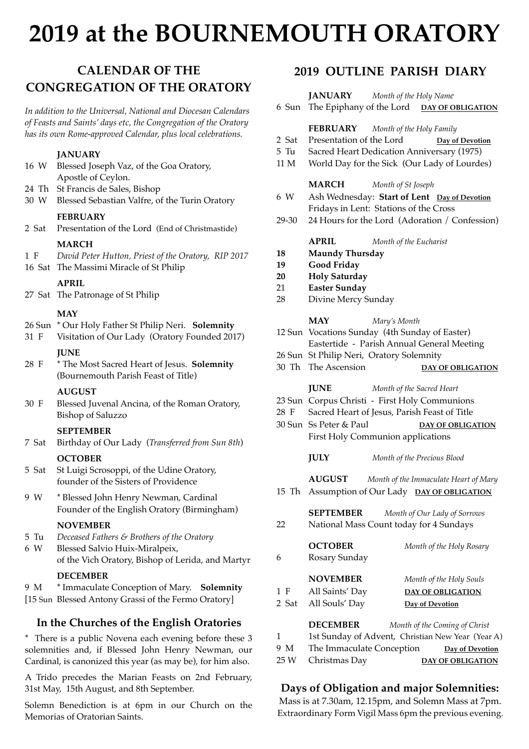## **2019 at the BOURNEMOUTH ORATORY**

## **CALENDAR OF THE CONGREGATION OF THE ORATORY**

*In addition to the Universal, National and Diocesan Calendars of Feasts and Saints' days etc, the Congregation of the Oratory has its own Rome-approved Calendar, plus local celebrations.*

#### **JANUARY**

- 16 W Blessed Joseph Vaz, of the Goa Oratory, Apostle of Ceylon. 24 Th St Francis de Sales, Bishop 30 W Blessed Sebastian Valfre, of the Turin Oratory **FEBRUARY** 2 Sat Presentation of the Lord (End of Christmastide) **MARCH** 1 F *David Peter Hutton, Priest of the Oratory, RIP 2017* 16 Sat The Massimi Miracle of St Philip **APRIL** 27 Sat The Patronage of St Philip **MAY**
	-
- 26 Sun \* Our Holy Father St Philip Neri. **Solemnity**
- 31 F Visitation of Our Lady (Oratory Founded 2017) **JUNE**
- 28 F \* The Most Sacred Heart of Jesus. **Solemnity**  (Bournemouth Parish Feast of Title)

#### **AUGUST**

30 F Blessed Juvenal Ancina, of the Roman Oratory, Bishop of Saluzzo

#### **SEPTEMBER**

7 Sat Birthday of Our Lady (*Transferred from Sun 8th*)

#### **OCTOBER**

- 5 Sat St Luigi Scrosoppi, of the Udine Oratory, founder of the Sisters of Providence
- 9 W \* Blessed John Henry Newman, Cardinal Founder of the English Oratory (Birmingham)

#### **NOVEMBER**

- 5 Tu *Deceased Fathers & Brothers of the Oratory*
- 6 W Blessed Salvio Huix-Miralpeix, of the Vich Oratory, Bishop of Lerida, and Martyr

#### **DECEMBER**

9 M \* Immaculate Conception of Mary. **Solemnity** [15 Sun Blessed Antony Grassi of the Fermo Oratory]

#### **In the Churches of the English Oratories**

\* There is a public Novena each evening before these 3 solemnities and, if Blessed John Henry Newman, our Cardinal, is canonized this year (as may be), for him also.

A Trido precedes the Marian Feasts on 2nd February, 31st May, 15th August, and 8th September.

Solemn Benediction is at 6pm in our Church on the Memorias of Oratorian Saints.

### **2019 OUTLINE PARISH DIARY**

**JANUARY** *Month of the Holy Name*

- 6 Sun The Epiphany of the Lord **DAY OF OBLIGATION**
	- **FEBRUARY** *Month of the Holy Family*
- 2 Sat Presentation of the Lord **Day of Devotion**
- 5 Tu Sacred Heart Dedication Anniversary (1975)
- 11 M World Day for the Sick (Our Lady of Lourdes)

#### **MARCH** *Month of St Joseph*

- 6 W Ash Wednesday: **Start of Lent Day of Devotion** Fridays in Lent: Stations of the Cross
- 29-30 24 Hours for the Lord (Adoration / Confession)

**APRIL** *Month of the Eucharist*

- **18 Maundy Thursday**
- **19 Good Friday**
- **20 Holy Saturday**
- 21 **Easter Sunday**
- 28 Divine Mercy Sunday

#### **MAY** *Mary's Month*

- 12 Sun Vocations Sunday (4th Sunday of Easter) Eastertide - Parish Annual General Meeting
- 26 Sun St Philip Neri, Oratory Solemnity
- 30 Th The Ascension **DAY OF OBLIGATION**

#### **JUNE** *Month of the Sacred Heart*

- 23 Sun Corpus Christi First Holy Communions
- 28 F Sacred Heart of Jesus, Parish Feast of Title
- 30 Sun Ss Peter & Paul **DAY OF OBLIGATION** First Holy Communion applications

#### **JULY** *Month of the Precious Blood*

**AUGUST** *Month of the Immaculate Heart of Mary*

- 15 Th Assumption of Our Lady **DAY OF OBLIGATION**
- **SEPTEMBER** *Month of Our Lady of Sorrows* 22 National Mass Count today for 4 Sundays
- **OCTOBER** *Month of the Holy Rosary* 6 Rosary Sunday **NOVEMBER** *Month of the Holy Souls* 1 F All Saints' Day **DAY OF OBLIGATION** 2 Sat All Souls' Day **Day of Devotion**

#### **DECEMBER** *Month of the Coming of Christ*

- 1 1st Sunday of Advent, Christian New Year (Year A)
- 9 M The Immaculate Conception **Day of Devotion** 25 W Christmas Day **DAY OF OBLIGATION**

#### **Days of Obligation and major Solemnities:**

Mass is at 7.30am, 12.15pm, and Solemn Mass at 7pm. Extraordinary Form Vigil Mass 6pm the previous evening.